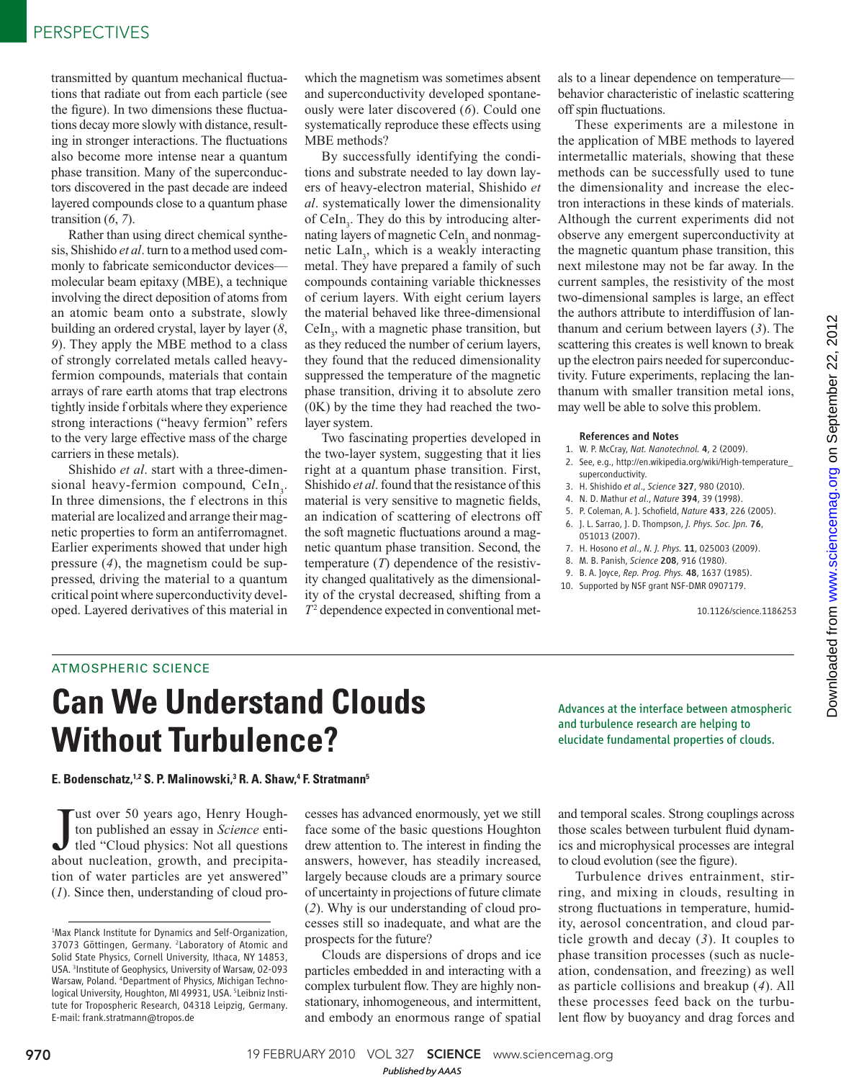transmitted by quantum mechanical fluctuations that radiate out from each particle (see the figure). In two dimensions these fluctuations decay more slowly with distance, resulting in stronger interactions. The fluctuations also become more intense near a quantum phase transition. Many of the superconductors discovered in the past decade are indeed layered compounds close to a quantum phase transition  $(6, 7)$ .

Rather than using direct chemical synthesis, Shishido *et al*. turn to a method used commonly to fabricate semiconductor devices molecular beam epitaxy (MBE), a technique involving the direct deposition of atoms from an atomic beam onto a substrate, slowly building an ordered crystal, layer by layer  $(8, 8)$ *9*). They apply the MBE method to a class of strongly correlated metals called heavyfermion compounds, materials that contain arrays of rare earth atoms that trap electrons tightly inside f orbitals where they experience strong interactions ("heavy fermion" refers to the very large effective mass of the charge carriers in these metals).

Shishido *et al*. start with a three-dimensional heavy-fermion compound, CeIn<sub>3</sub>. In three dimensions, the f electrons in this material are localized and arrange their magnetic properties to form an antiferromagnet. Earlier experiments showed that under high pressure  $(4)$ , the magnetism could be suppressed, driving the material to a quantum critical point where superconductivity developed. Layered derivatives of this material in

which the magnetism was sometimes absent and superconductivity developed spontaneously were later discovered (6). Could one systematically reproduce these effects using MBE methods?

By successfully identifying the conditions and substrate needed to lay down layers of heavy-electron material, Shishido *et al*. systematically lower the dimensionality of CeIn<sub>3</sub>. They do this by introducing alternating layers of magnetic CeIn<sub>3</sub> and nonmagnetic LaIn<sub>3</sub>, which is a weakly interacting metal. They have prepared a family of such compounds containing variable thicknesses of cerium layers. With eight cerium layers the material behaved like three-dimensional  $Celn_3$ , with a magnetic phase transition, but as they reduced the number of cerium layers, they found that the reduced dimensionality suppressed the temperature of the magnetic phase transition, driving it to absolute zero (0K) by the time they had reached the twolayer system.

Two fascinating properties developed in the two-layer system, suggesting that it lies right at a quantum phase transition. First, Shishido *et al*. found that the resistance of this material is very sensitive to magnetic fields, an indication of scattering of electrons off the soft magnetic fluctuations around a magnetic quantum phase transition. Second, the temperature (*T*) dependence of the resistivity changed qualitatively as the dimensionality of the crystal decreased, shifting from a  $T<sup>2</sup>$  dependence expected in conventional metals to a linear dependence on temperature behavior characteristic of inelastic scattering off spin fluctuations.

These experiments are a milestone in the application of MBE methods to layered intermetallic materials, showing that these methods can be successfully used to tune the dimensionality and increase the electron interactions in these kinds of materials. Although the current experiments did not observe any emergent superconductivity at the magnetic quantum phase transition, this next milestone may not be far away. In the current samples, the resistivity of the most two-dimensional samples is large, an effect the authors attribute to interdiffusion of lanthanum and cerium between layers ( *3*). The scattering this creates is well known to break up the electron pairs needed for superconductivity. Future experiments, replacing the lanthanum with smaller transition metal ions, may well be able to solve this problem.

## References and Notes

- 1. W. P. McCray, *Nat. Nanotechnol.* 4, 2 (2009).
- 2. See, e.g., http://en.wikipedia.org/wiki/High-temperature\_ superconductivity.
- 3. H. Shishido *et al*., *Science* 327, 980 (2010).
- 4. N. D. Mathur *et al*., *Nature* 394, 39 (1998).
- 5. P. Coleman, A. J. Schofi eld, *Nature* 433, 226 (2005).
- 6. J. L. Sarrao, J. D. Thompson, *J. Phys. Soc. Jpn.* 76, 051013 (2007).
- 7. H. Hosono *et al*., *N. J. Phys.* 11, 025003 (2009).
- 8. M. B. Panish, *Science* 208, 916 (1980).
- 9. B. A. Joyce, *Rep. Prog. Phys.* 48, 1637 (1985).
- 10. Supported by NSF grant NSF-DMR 0907179.

10.1126/science.1186253

## ATMOSPHERIC SCIENCE

## **Can We Understand Clouds Without Turbulence?**

Advances at the interface between atmospheric and turbulence research are helping to elucidate fundamental properties of clouds.

**E. Bodenschatz,<sup>1,2</sup> S. P. Malinowski,<sup>3</sup> R. A. Shaw,<sup>4</sup> F. Stratmann<sup>5</sup>** 

**Just over 50 years ago, Henry Houghton published an essay in** *Science* **entitied "Cloud physics: Not all questions about nucleation growth and precipita**ton published an essay in *Science* entitled "Cloud physics: Not all questions about nucleation, growth, and precipitation of water particles are yet answered" ( *1*). Since then, understanding of cloud pro-

cesses has advanced enormously, yet we still face some of the basic questions Houghton drew attention to. The interest in finding the answers, however, has steadily increased, largely because clouds are a primary source of uncertainty in projections of future climate ( *2*). Why is our understanding of cloud processes still so inadequate, and what are the prospects for the future?

Clouds are dispersions of drops and ice particles embedded in and interacting with a complex turbulent flow. They are highly nonstationary, inhomogeneous, and intermittent, and embody an enormous range of spatial

and temporal scales. Strong couplings across those scales between turbulent fluid dynamics and microphysical processes are integral to cloud evolution (see the figure).

Turbulence drives entrainment, stirring, and mixing in clouds, resulting in strong fluctuations in temperature, humidity, aerosol concentration, and cloud particle growth and decay  $(3)$ . It couples to phase transition processes (such as nucleation, condensation, and freezing) as well as particle collisions and breakup (4). All these processes feed back on the turbulent flow by buoyancy and drag forces and

<sup>1</sup>Max Planck Institute for Dynamics and Self-Organization, 37073 Göttingen, Germany. <sup>2</sup>Laboratory of Atomic and Solid State Physics, Cornell University, Ithaca, NY 14853, USA. <sup>3</sup> Institute of Geophysics, University of Warsaw, 02-093 Warsaw, Poland. 4Department of Physics, Michigan Technological University, Houghton, MI 49931, USA. <sup>5</sup>Leibniz Institute for Tropospheric Research, 04318 Leipzig, Germany. E-mail: frank.stratmann@tropos.de